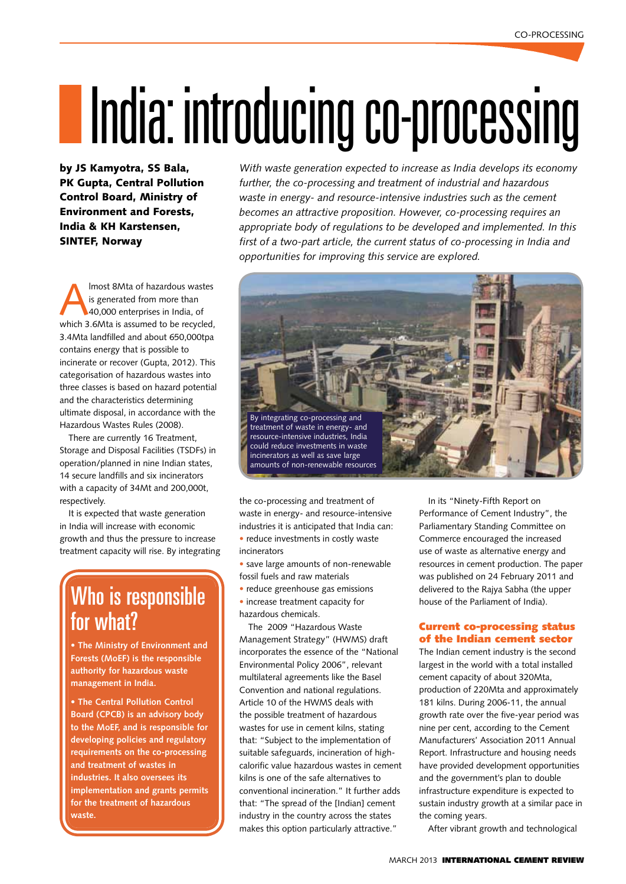# IIndia: introducing co-processing

by JS Kamyotra, SS Bala, PK Gupta, Central Pollution Control Board, Ministry of Environment and Forests, India & KH Karstensen, **SINTEF, Norway** 

Imost 8Mta of hazardous wastes<br>
is generated from more than<br>
40,000 enterprises in India, of<br>
which 3.6Mta is assumed to be recycled is generated from more than which 3.6Mta is assumed to be recycled, 3.4Mta landfilled and about 650,000tpa contains energy that is possible to incinerate or recover (Gupta, 2012). This categorisation of hazardous wastes into three classes is based on hazard potential and the characteristics determining ultimate disposal, in accordance with the Hazardous Wastes Rules (2008).

There are currently 16 Treatment, Storage and Disposal Facilities (TSDFs) in operation/planned in nine Indian states, 14 secure landfills and six incinerators with a capacity of 34Mt and 200,000t, respectively.

It is expected that waste generation in India will increase with economic growth and thus the pressure to increase treatment capacity will rise. By integrating

# Who is responsible for what?

**• The Ministry of Environment and Forests (MoEF) is the responsible authority for hazardous waste management in India.** 

**• The Central Pollution Control Board (CPCB) is an advisory body to the MoEF, and is responsible for developing policies and regulatory requirements on the co-processing and treatment of wastes in industries. It also oversees its implementation and grants permits for the treatment of hazardous waste.**

*With waste generation expected to increase as India develops its economy further, the co-processing and treatment of industrial and hazardous waste in energy- and resource-intensive industries such as the cement becomes an attractive proposition. However, co-processing requires an appropriate body of regulations to be developed and implemented. In this first of a two-part article, the current status of co-processing in India and opportunities for improving this service are explored.*



the co-processing and treatment of waste in energy- and resource-intensive industries it is anticipated that India can: • reduce investments in costly waste

incinerators

• save large amounts of non-renewable fossil fuels and raw materials

• reduce greenhouse gas emissions

• increase treatment capacity for hazardous chemicals.

The 2009 "Hazardous Waste Management Strategy" (HWMS) draft incorporates the essence of the "National Environmental Policy 2006", relevant multilateral agreements like the Basel Convention and national regulations. Article 10 of the HWMS deals with the possible treatment of hazardous wastes for use in cement kilns, stating that: "Subject to the implementation of suitable safeguards, incineration of highcalorific value hazardous wastes in cement kilns is one of the safe alternatives to conventional incineration." It further adds that: "The spread of the [Indian] cement industry in the country across the states makes this option particularly attractive."

In its "Ninety-Fifth Report on Performance of Cement Industry", the Parliamentary Standing Committee on Commerce encouraged the increased use of waste as alternative energy and resources in cement production. The paper was published on 24 February 2011 and delivered to the Rajya Sabha (the upper house of the Parliament of India).

# Current co-processing status of the Indian cement sector

The Indian cement industry is the second largest in the world with a total installed cement capacity of about 320Mta, production of 220Mta and approximately 181 kilns. During 2006-11, the annual growth rate over the five-year period was nine per cent, according to the Cement Manufacturers' Association 2011 Annual Report. Infrastructure and housing needs have provided development opportunities and the government's plan to double infrastructure expenditure is expected to sustain industry growth at a similar pace in the coming years.

After vibrant growth and technological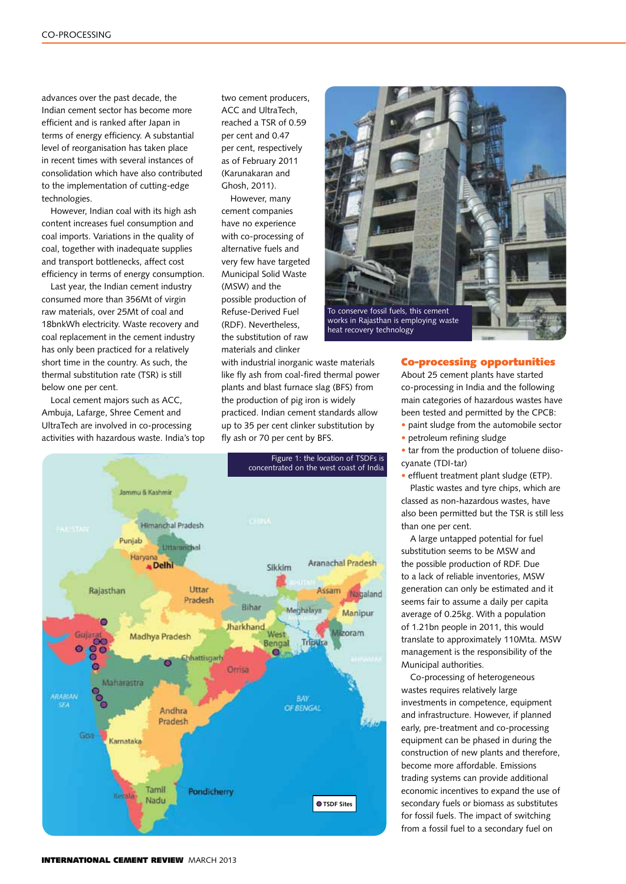advances over the past decade, the Indian cement sector has become more efficient and is ranked after Japan in terms of energy efficiency. A substantial level of reorganisation has taken place in recent times with several instances of consolidation which have also contributed to the implementation of cutting-edge technologies.

However, Indian coal with its high ash content increases fuel consumption and coal imports. Variations in the quality of coal, together with inadequate supplies and transport bottlenecks, affect cost efficiency in terms of energy consumption.

Last year, the Indian cement industry consumed more than 356Mt of virgin raw materials, over 25Mt of coal and 18bnkWh electricity. Waste recovery and coal replacement in the cement industry has only been practiced for a relatively short time in the country. As such, the thermal substitution rate (TSR) is still below one per cent.

Local cement majors such as ACC, Ambuja, Lafarge, Shree Cement and UltraTech are involved in co-processing activities with hazardous waste. India's top two cement producers, ACC and UltraTech, reached a TSR of 0.59 per cent and 0.47 per cent, respectively as of February 2011 (Karunakaran and Ghosh, 2011).

However, many cement companies have no experience with co-processing of alternative fuels and very few have targeted Municipal Solid Waste (MSW) and the possible production of Refuse-Derived Fuel (RDF). Nevertheless, the substitution of raw materials and clinker

with industrial inorganic waste materials like fly ash from coal-fired thermal power plants and blast furnace slag (BFS) from the production of pig iron is widely practiced. Indian cement standards allow up to 35 per cent clinker substitution by fly ash or 70 per cent by BFS.



To conserve fossil fuels, this cement works in Rajasthan is employing waste heat recovery technology

### Co-processing opportunities

About 25 cement plants have started co-processing in India and the following main categories of hazardous wastes have been tested and permitted by the CPCB:

• paint sludge from the automobile sector

• petroleum refining sludge

• tar from the production of toluene diisocyanate (TDI-tar)

• effluent treatment plant sludge (ETP).

Plastic wastes and tyre chips, which are classed as non-hazardous wastes, have also been permitted but the TSR is still less than one per cent.

A large untapped potential for fuel substitution seems to be MSW and the possible production of RDF. Due to a lack of reliable inventories, MSW generation can only be estimated and it seems fair to assume a daily per capita average of 0.25kg. With a population of 1.21bn people in 2011, this would translate to approximately 110Mta. MSW management is the responsibility of the Municipal authorities.

Co-processing of heterogeneous wastes requires relatively large investments in competence, equipment and infrastructure. However, if planned early, pre-treatment and co-processing equipment can be phased in during the construction of new plants and therefore, become more affordable. Emissions trading systems can provide additional economic incentives to expand the use of secondary fuels or biomass as substitutes for fossil fuels. The impact of switching from a fossil fuel to a secondary fuel on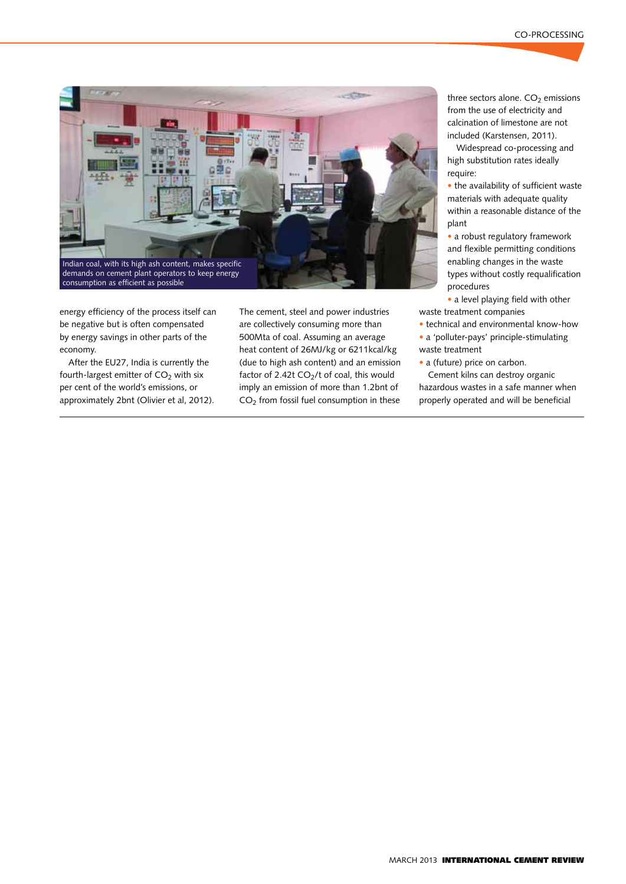

energy efficiency of the process itself can be negative but is often compensated by energy savings in other parts of the economy.

After the EU27, India is currently the fourth-largest emitter of  $CO<sub>2</sub>$  with six per cent of the world's emissions, or approximately 2bnt (Olivier et al, 2012). The cement, steel and power industries are collectively consuming more than 500Mta of coal. Assuming an average heat content of 26MJ/kg or 6211kcal/kg (due to high ash content) and an emission factor of 2.42t  $CO<sub>2</sub>/t$  of coal, this would imply an emission of more than 1.2bnt of  $CO<sub>2</sub>$  from fossil fuel consumption in these

three sectors alone.  $CO<sub>2</sub>$  emissions from the use of electricity and calcination of limestone are not included (Karstensen, 2011).

Widespread co-processing and high substitution rates ideally require:

• the availability of sufficient waste materials with adequate quality within a reasonable distance of the plant

• a robust regulatory framework and flexible permitting conditions enabling changes in the waste types without costly requalification procedures

• a level playing field with other waste treatment companies

• technical and environmental know-how

• a 'polluter-pays' principle-stimulating waste treatment

• a (future) price on carbon.

Cement kilns can destroy organic hazardous wastes in a safe manner when properly operated and will be beneficial